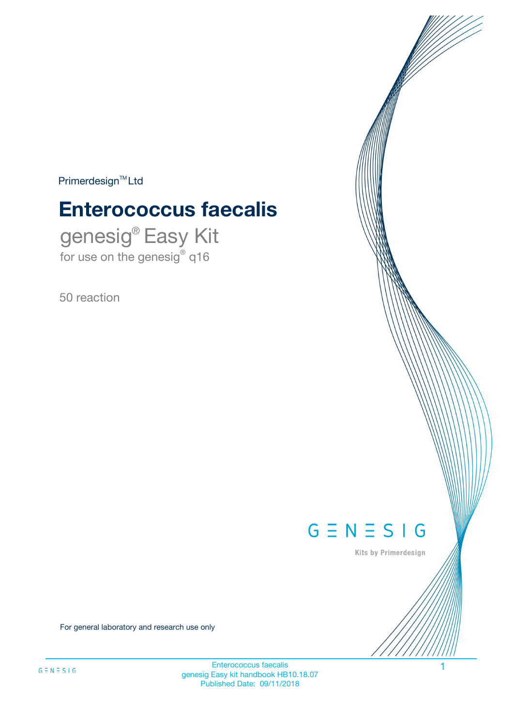$Primerdesign^{\text{TM}}Ltd$ 

# **Enterococcus faecalis**

genesig® Easy Kit for use on the genesig® q16

50 reaction



Kits by Primerdesign

For general laboratory and research use only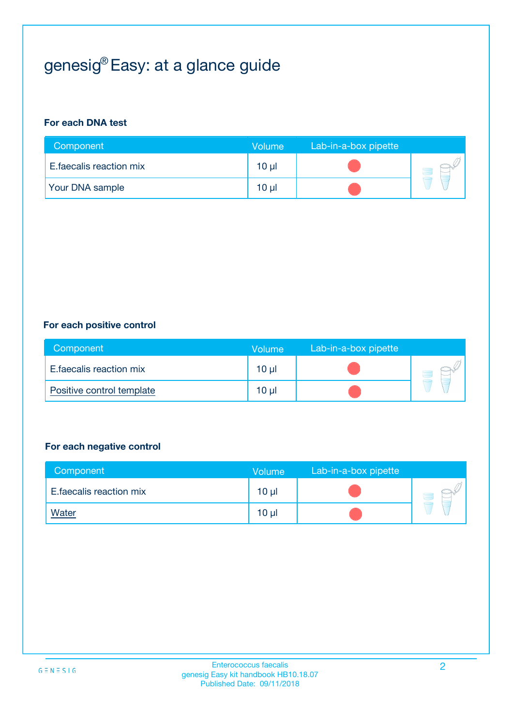# genesig® Easy: at a glance guide

#### **For each DNA test**

| Component               | <b>Volume</b>   | Lab-in-a-box pipette |  |
|-------------------------|-----------------|----------------------|--|
| E.faecalis reaction mix | $10 \mu$        |                      |  |
| <b>Your DNA sample</b>  | 10 <sub>µ</sub> |                      |  |

#### **For each positive control**

| Component                 | Volume          | Lab-in-a-box pipette |  |
|---------------------------|-----------------|----------------------|--|
| E.faecalis reaction mix   | 10 <sub>µ</sub> |                      |  |
| Positive control template | 10 <sub>µ</sub> |                      |  |

#### **For each negative control**

| Component               | <b>Volume</b>   | Lab-in-a-box pipette |  |
|-------------------------|-----------------|----------------------|--|
| E.faecalis reaction mix | 10 <sub>µ</sub> |                      |  |
| <u>Water</u>            | 10 <sub>µ</sub> |                      |  |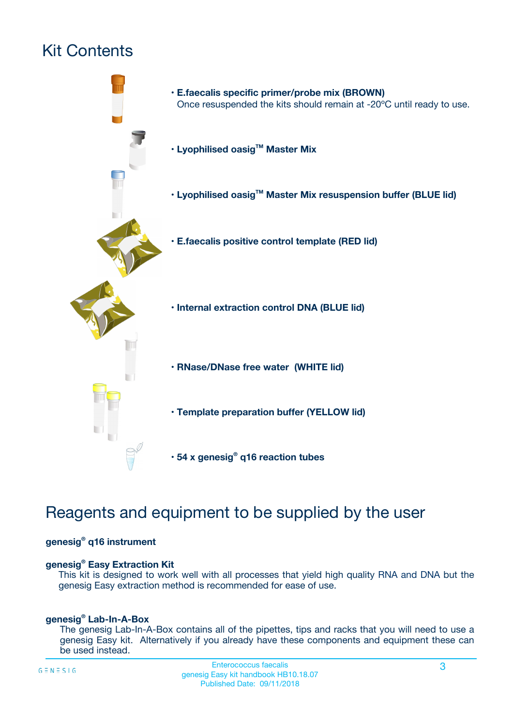# Kit Contents



# Reagents and equipment to be supplied by the user

#### **genesig® q16 instrument**

#### **genesig® Easy Extraction Kit**

This kit is designed to work well with all processes that yield high quality RNA and DNA but the genesig Easy extraction method is recommended for ease of use.

#### **genesig® Lab-In-A-Box**

The genesig Lab-In-A-Box contains all of the pipettes, tips and racks that you will need to use a genesig Easy kit. Alternatively if you already have these components and equipment these can be used instead.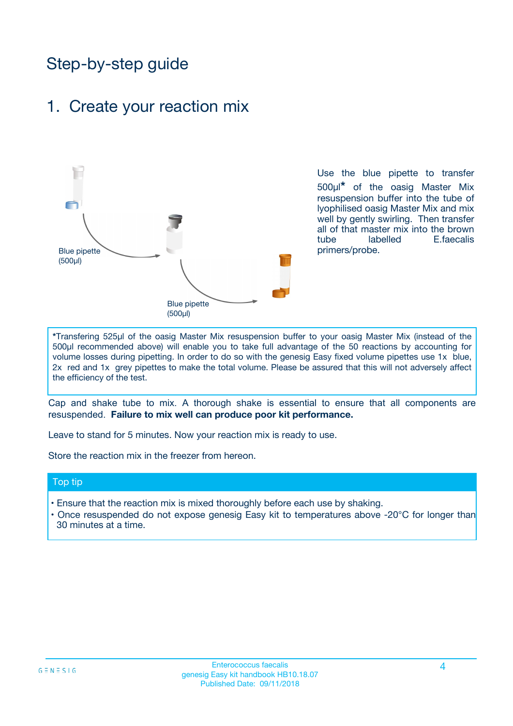# Step-by-step guide

## 1. Create your reaction mix



Use the blue pipette to transfer 500µl**\*** of the oasig Master Mix resuspension buffer into the tube of lyophilised oasig Master Mix and mix well by gently swirling. Then transfer all of that master mix into the brown tube labelled E.faecalis primers/probe.

**\***Transfering 525µl of the oasig Master Mix resuspension buffer to your oasig Master Mix (instead of the 500µl recommended above) will enable you to take full advantage of the 50 reactions by accounting for volume losses during pipetting. In order to do so with the genesig Easy fixed volume pipettes use 1x blue, 2x red and 1x grey pipettes to make the total volume. Please be assured that this will not adversely affect the efficiency of the test.

Cap and shake tube to mix. A thorough shake is essential to ensure that all components are resuspended. **Failure to mix well can produce poor kit performance.**

Leave to stand for 5 minutes. Now your reaction mix is ready to use.

Store the reaction mix in the freezer from hereon.

#### Top tip

- Ensure that the reaction mix is mixed thoroughly before each use by shaking.
- **•** Once resuspended do not expose genesig Easy kit to temperatures above -20°C for longer than 30 minutes at a time.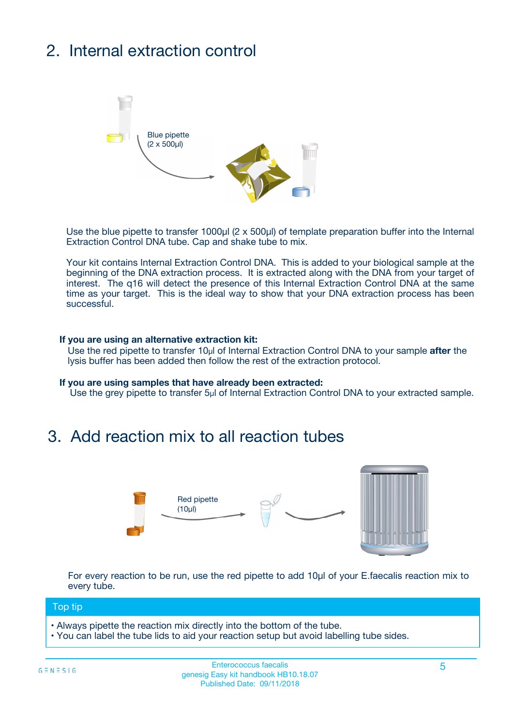# 2. Internal extraction control



Use the blue pipette to transfer 1000µl (2 x 500µl) of template preparation buffer into the Internal Extraction Control DNA tube. Cap and shake tube to mix.

Your kit contains Internal Extraction Control DNA. This is added to your biological sample at the beginning of the DNA extraction process. It is extracted along with the DNA from your target of interest. The q16 will detect the presence of this Internal Extraction Control DNA at the same time as your target. This is the ideal way to show that your DNA extraction process has been **successful.** 

#### **If you are using an alternative extraction kit:**

Use the red pipette to transfer 10µl of Internal Extraction Control DNA to your sample **after** the lysis buffer has been added then follow the rest of the extraction protocol.

#### **If you are using samples that have already been extracted:**

Use the grey pipette to transfer 5µl of Internal Extraction Control DNA to your extracted sample.

## 3. Add reaction mix to all reaction tubes



For every reaction to be run, use the red pipette to add 10µl of your E.faecalis reaction mix to every tube.

#### Top tip

- Always pipette the reaction mix directly into the bottom of the tube.
- You can label the tube lids to aid your reaction setup but avoid labelling tube sides.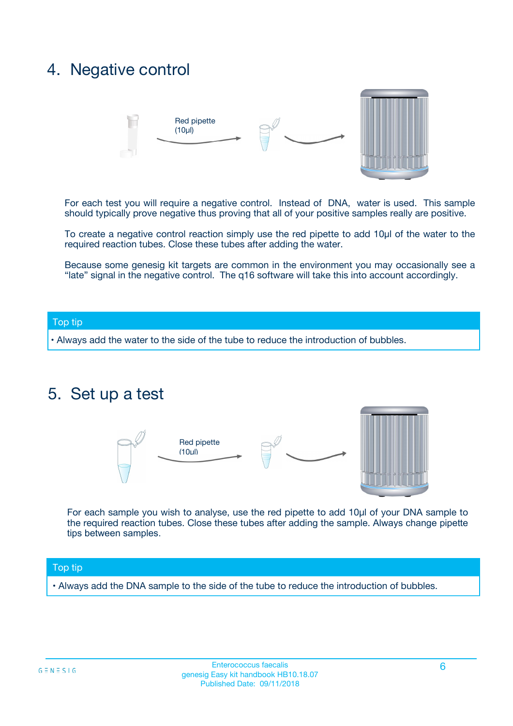## 4. Negative control



For each test you will require a negative control. Instead of DNA, water is used. This sample should typically prove negative thus proving that all of your positive samples really are positive.

To create a negative control reaction simply use the red pipette to add 10µl of the water to the required reaction tubes. Close these tubes after adding the water.

Because some genesig kit targets are common in the environment you may occasionally see a "late" signal in the negative control. The q16 software will take this into account accordingly.

#### Top tip

**•** Always add the water to the side of the tube to reduce the introduction of bubbles.

### 5. Set up a test



For each sample you wish to analyse, use the red pipette to add 10µl of your DNA sample to the required reaction tubes. Close these tubes after adding the sample. Always change pipette tips between samples.

#### Top tip

**•** Always add the DNA sample to the side of the tube to reduce the introduction of bubbles.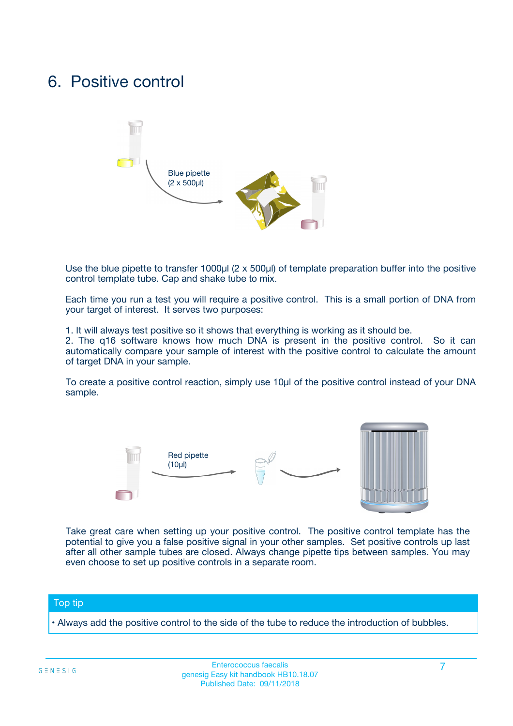## 6. Positive control



Use the blue pipette to transfer 1000µl (2 x 500µl) of template preparation buffer into the positive control template tube. Cap and shake tube to mix.

Each time you run a test you will require a positive control. This is a small portion of DNA from your target of interest. It serves two purposes:

1. It will always test positive so it shows that everything is working as it should be.

2. The q16 software knows how much DNA is present in the positive control. So it can automatically compare your sample of interest with the positive control to calculate the amount of target DNA in your sample.

To create a positive control reaction, simply use 10µl of the positive control instead of your DNA sample.



Take great care when setting up your positive control. The positive control template has the potential to give you a false positive signal in your other samples. Set positive controls up last after all other sample tubes are closed. Always change pipette tips between samples. You may even choose to set up positive controls in a separate room.

#### Top tip

**•** Always add the positive control to the side of the tube to reduce the introduction of bubbles.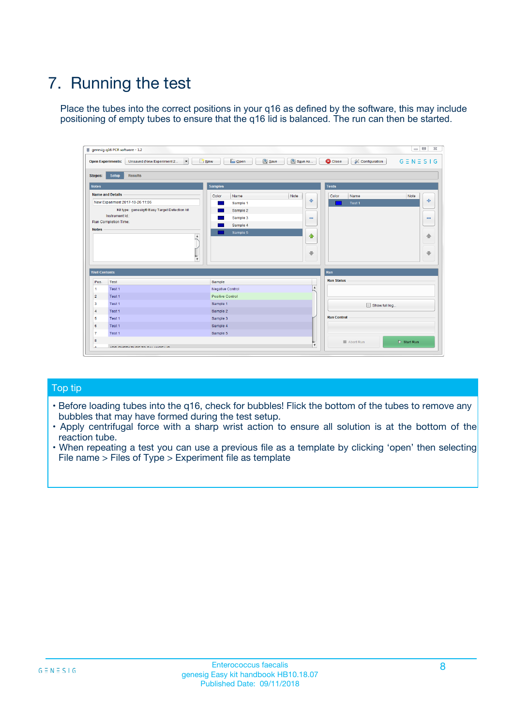# 7. Running the test

Place the tubes into the correct positions in your q16 as defined by the software, this may include positioning of empty tubes to ensure that the q16 lid is balanced. The run can then be started.

| genesig q16 PCR software - 1.2                                               |                                     | $\Box$                                                                                  |
|------------------------------------------------------------------------------|-------------------------------------|-----------------------------------------------------------------------------------------|
| Unsaved (New Experiment 2<br>$\vert \cdot \vert$<br><b>Open Experiments:</b> | <b>D</b> Open<br>Save<br>$\Box$ New | Save As<br><b>C</b> Close<br>$G \equiv N \equiv S \mid G$<br><b>&amp; Configuration</b> |
| Setup<br><b>Results</b><br><b>Stages:</b>                                    |                                     |                                                                                         |
| <b>Notes</b>                                                                 | Samples                             | <b>Tests</b>                                                                            |
| <b>Name and Details</b>                                                      | Color<br>Name                       | Note<br>Color<br>Note<br>Name                                                           |
| New Experiment 2017-10-26 11:06                                              | Sample 1                            | 条<br>علي<br>Test 1                                                                      |
| Kit type: genesig® Easy Target Detection kit                                 | Sample 2                            |                                                                                         |
| Instrument Id.:                                                              | Sample 3                            | $\qquad \qquad \blacksquare$<br>$\qquad \qquad \blacksquare$                            |
| Run Completion Time:                                                         | Sample 4                            |                                                                                         |
| <b>Notes</b>                                                                 | Sample 5<br>A<br>v                  | $\triangle$<br>4<br>$\oplus$<br>₩                                                       |
| <b>Well Contents</b>                                                         |                                     | <b>Run</b>                                                                              |
| Pos.<br>Test                                                                 | Sample                              | <b>Run Status</b>                                                                       |
| Test 1<br>-1                                                                 | <b>Negative Control</b>             | $\blacktriangle$                                                                        |
| $\overline{2}$<br>Test 1                                                     | <b>Positive Control</b>             |                                                                                         |
| $\overline{\mathbf{3}}$<br>Test 1                                            | Sample 1                            | Show full log                                                                           |
| Test 1<br>$\overline{4}$                                                     | Sample 2                            |                                                                                         |
| 5<br>Test 1                                                                  | Sample 3                            | <b>Run Control</b>                                                                      |
| 6<br>Test 1                                                                  | Sample 4                            |                                                                                         |
| $\overline{7}$<br>Test 1                                                     | Sample 5                            |                                                                                         |
| 8                                                                            |                                     | $\triangleright$ Start Run<br>Abort Run                                                 |
| <b>JOD FURTY TUDE TO BUILDED IN</b>                                          |                                     | $\overline{\mathbf{v}}$                                                                 |

#### Top tip

- Before loading tubes into the q16, check for bubbles! Flick the bottom of the tubes to remove any bubbles that may have formed during the test setup.
- Apply centrifugal force with a sharp wrist action to ensure all solution is at the bottom of the reaction tube.
- When repeating a test you can use a previous file as a template by clicking 'open' then selecting File name > Files of Type > Experiment file as template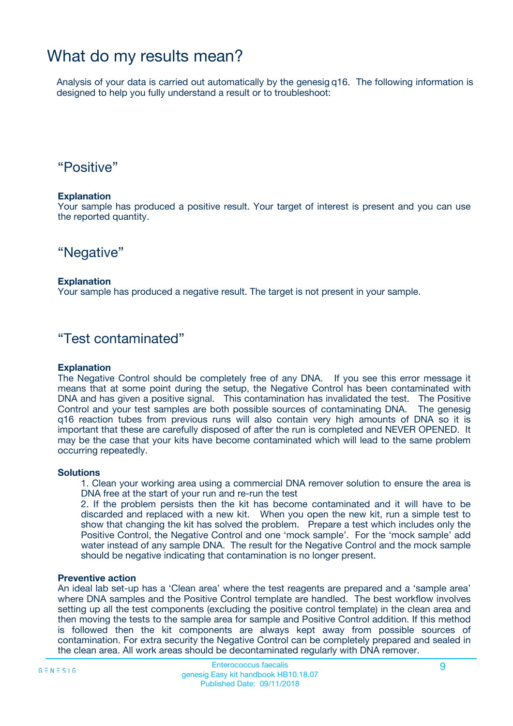## What do my results mean?

Analysis of your data is carried out automatically by the genesig q16. The following information is designed to help you fully understand a result or to troubleshoot:

### "Positive"

#### **Explanation**

Your sample has produced a positive result. Your target of interest is present and you can use the reported quantity.

"Negative"

#### **Explanation**

Your sample has produced a negative result. The target is not present in your sample.

### "Test contaminated"

#### **Explanation**

The Negative Control should be completely free of any DNA. If you see this error message it means that at some point during the setup, the Negative Control has been contaminated with DNA and has given a positive signal. This contamination has invalidated the test. The Positive Control and your test samples are both possible sources of contaminating DNA. The genesig q16 reaction tubes from previous runs will also contain very high amounts of DNA so it is important that these are carefully disposed of after the run is completed and NEVER OPENED. It may be the case that your kits have become contaminated which will lead to the same problem occurring repeatedly.

#### **Solutions**

1. Clean your working area using a commercial DNA remover solution to ensure the area is DNA free at the start of your run and re-run the test

2. If the problem persists then the kit has become contaminated and it will have to be discarded and replaced with a new kit. When you open the new kit, run a simple test to show that changing the kit has solved the problem. Prepare a test which includes only the Positive Control, the Negative Control and one 'mock sample'. For the 'mock sample' add water instead of any sample DNA. The result for the Negative Control and the mock sample should be negative indicating that contamination is no longer present.

#### **Preventive action**

An ideal lab set-up has a 'Clean area' where the test reagents are prepared and a 'sample area' where DNA samples and the Positive Control template are handled. The best workflow involves setting up all the test components (excluding the positive control template) in the clean area and then moving the tests to the sample area for sample and Positive Control addition. If this method is followed then the kit components are always kept away from possible sources of contamination. For extra security the Negative Control can be completely prepared and sealed in the clean area. All work areas should be decontaminated regularly with DNA remover.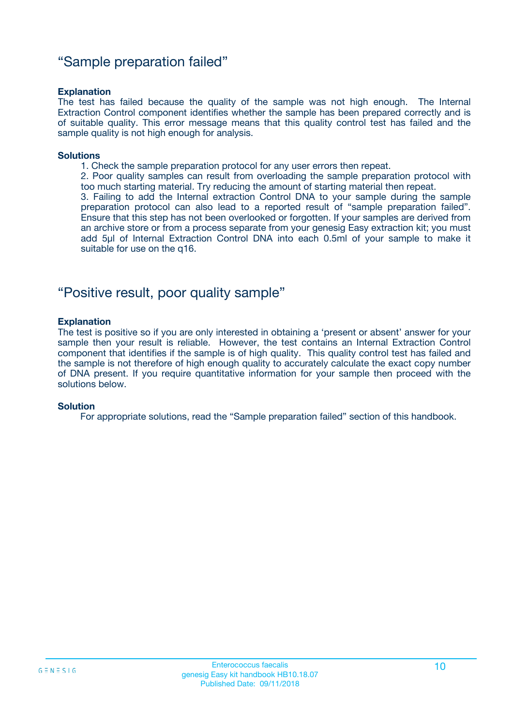### "Sample preparation failed"

#### **Explanation**

The test has failed because the quality of the sample was not high enough. The Internal Extraction Control component identifies whether the sample has been prepared correctly and is of suitable quality. This error message means that this quality control test has failed and the sample quality is not high enough for analysis.

#### **Solutions**

1. Check the sample preparation protocol for any user errors then repeat.

2. Poor quality samples can result from overloading the sample preparation protocol with too much starting material. Try reducing the amount of starting material then repeat.

3. Failing to add the Internal extraction Control DNA to your sample during the sample preparation protocol can also lead to a reported result of "sample preparation failed". Ensure that this step has not been overlooked or forgotten. If your samples are derived from an archive store or from a process separate from your genesig Easy extraction kit; you must add 5µl of Internal Extraction Control DNA into each 0.5ml of your sample to make it suitable for use on the q16.

### "Positive result, poor quality sample"

#### **Explanation**

The test is positive so if you are only interested in obtaining a 'present or absent' answer for your sample then your result is reliable. However, the test contains an Internal Extraction Control component that identifies if the sample is of high quality. This quality control test has failed and the sample is not therefore of high enough quality to accurately calculate the exact copy number of DNA present. If you require quantitative information for your sample then proceed with the solutions below.

#### **Solution**

For appropriate solutions, read the "Sample preparation failed" section of this handbook.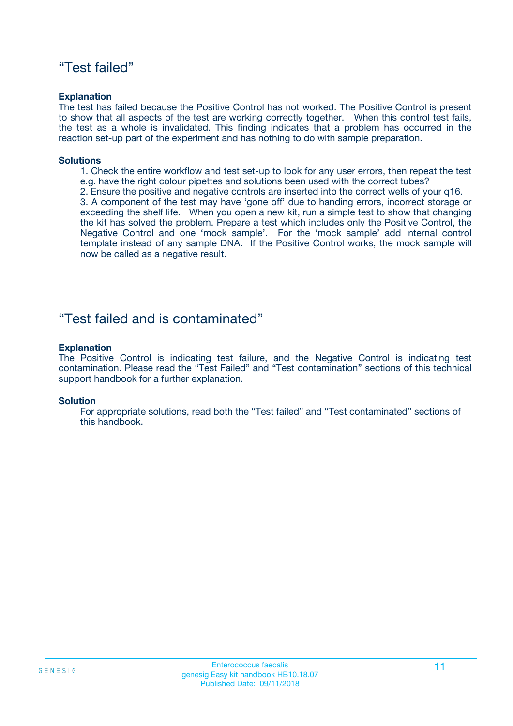### "Test failed"

#### **Explanation**

The test has failed because the Positive Control has not worked. The Positive Control is present to show that all aspects of the test are working correctly together. When this control test fails, the test as a whole is invalidated. This finding indicates that a problem has occurred in the reaction set-up part of the experiment and has nothing to do with sample preparation.

#### **Solutions**

- 1. Check the entire workflow and test set-up to look for any user errors, then repeat the test e.g. have the right colour pipettes and solutions been used with the correct tubes?
- 2. Ensure the positive and negative controls are inserted into the correct wells of your q16.

3. A component of the test may have 'gone off' due to handing errors, incorrect storage or exceeding the shelf life. When you open a new kit, run a simple test to show that changing the kit has solved the problem. Prepare a test which includes only the Positive Control, the Negative Control and one 'mock sample'. For the 'mock sample' add internal control template instead of any sample DNA. If the Positive Control works, the mock sample will now be called as a negative result.

### "Test failed and is contaminated"

#### **Explanation**

The Positive Control is indicating test failure, and the Negative Control is indicating test contamination. Please read the "Test Failed" and "Test contamination" sections of this technical support handbook for a further explanation.

#### **Solution**

For appropriate solutions, read both the "Test failed" and "Test contaminated" sections of this handbook.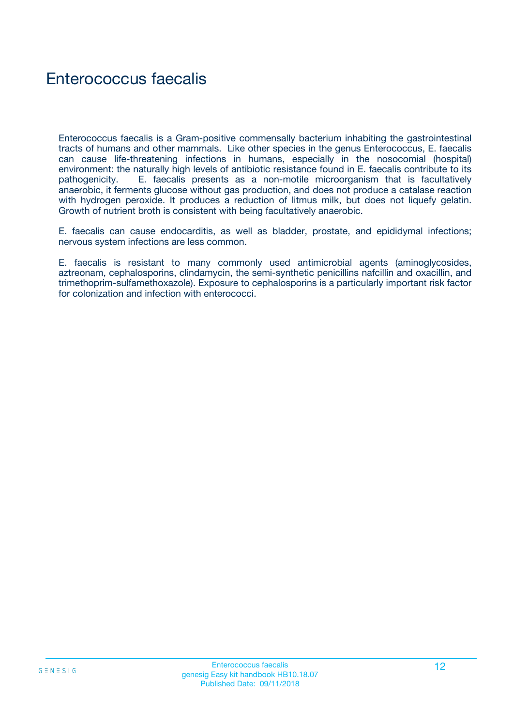# Enterococcus faecalis

Enterococcus faecalis is a Gram-positive commensally bacterium inhabiting the gastrointestinal tracts of humans and other mammals. Like other species in the genus Enterococcus, E. faecalis can cause life-threatening infections in humans, especially in the nosocomial (hospital) environment: the naturally high levels of antibiotic resistance found in E. faecalis contribute to its pathogenicity. E. faecalis presents as a non-motile microorganism that is facultatively anaerobic, it ferments glucose without gas production, and does not produce a catalase reaction with hydrogen peroxide. It produces a reduction of litmus milk, but does not liquefy gelatin. Growth of nutrient broth is consistent with being facultatively anaerobic.

E. faecalis can cause endocarditis, as well as bladder, prostate, and epididymal infections; nervous system infections are less common.

E. faecalis is resistant to many commonly used antimicrobial agents (aminoglycosides, aztreonam, cephalosporins, clindamycin, the semi-synthetic penicillins nafcillin and oxacillin, and trimethoprim-sulfamethoxazole). Exposure to cephalosporins is a particularly important risk factor for colonization and infection with enterococci.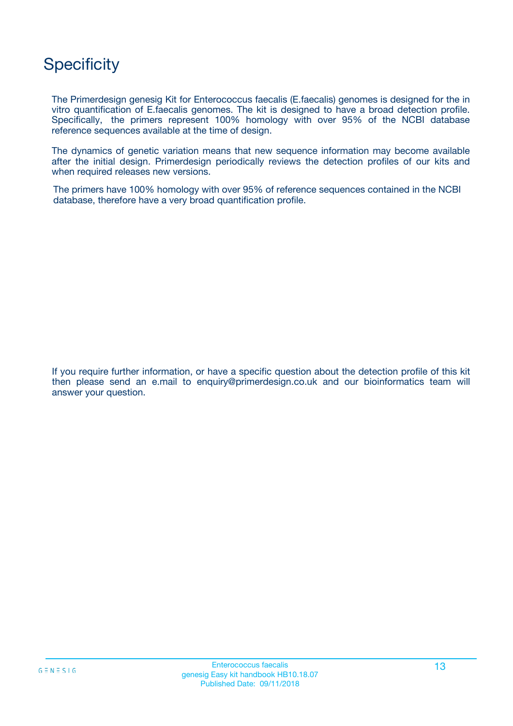# **Specificity**

The Primerdesign genesig Kit for Enterococcus faecalis (E.faecalis) genomes is designed for the in vitro quantification of E.faecalis genomes. The kit is designed to have a broad detection profile. Specifically, the primers represent 100% homology with over 95% of the NCBI database reference sequences available at the time of design.

The dynamics of genetic variation means that new sequence information may become available after the initial design. Primerdesign periodically reviews the detection profiles of our kits and when required releases new versions.

The primers have 100% homology with over 95% of reference sequences contained in the NCBI database, therefore have a very broad quantification profile.

If you require further information, or have a specific question about the detection profile of this kit then please send an e.mail to enquiry@primerdesign.co.uk and our bioinformatics team will answer your question.